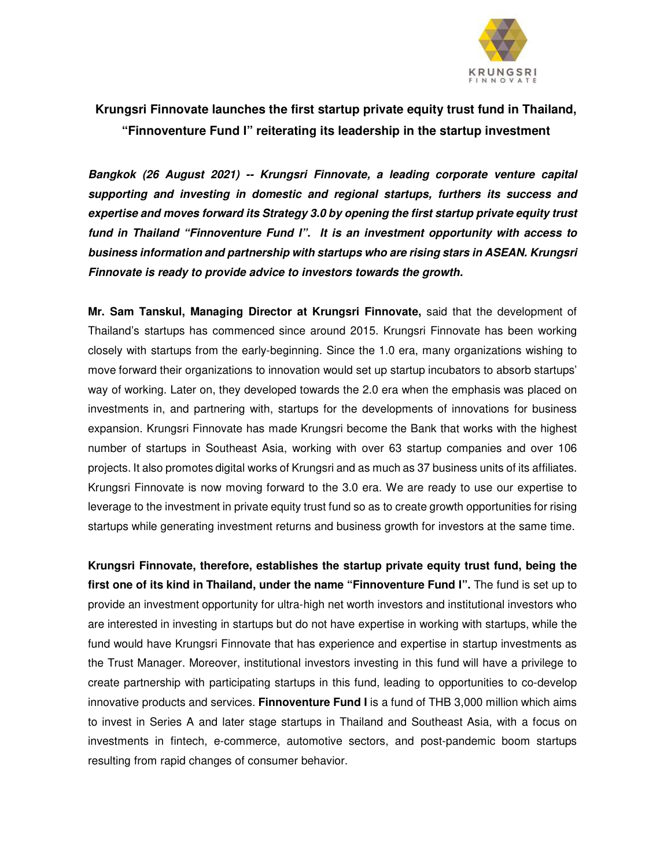

# **Krungsri Finnovate launches the first startup private equity trust fund in Thailand, "Finnoventure Fund I" reiterating its leadership in the startup investment**

**Bangkok (26 August 2021) -- Krungsri Finnovate, a leading corporate venture capital supporting and investing in domestic and regional startups, furthers its success and expertise and moves forward its Strategy 3.0 by opening the first startup private equity trust fund in Thailand "Finnoventure Fund I". It is an investment opportunity with access to business information and partnership with startups who are rising stars in ASEAN. Krungsri Finnovate is ready to provide advice to investors towards the growth.** 

**Mr. Sam Tanskul, Managing Director at Krungsri Finnovate,** said that the development of Thailand's startups has commenced since around 2015. Krungsri Finnovate has been working closely with startups from the early-beginning. Since the 1.0 era, many organizations wishing to move forward their organizations to innovation would set up startup incubators to absorb startups' way of working. Later on, they developed towards the 2.0 era when the emphasis was placed on investments in, and partnering with, startups for the developments of innovations for business expansion. Krungsri Finnovate has made Krungsri become the Bank that works with the highest number of startups in Southeast Asia, working with over 63 startup companies and over 106 projects. It also promotes digital works of Krungsri and as much as 37 business units of its affiliates. Krungsri Finnovate is now moving forward to the 3.0 era. We are ready to use our expertise to leverage to the investment in private equity trust fund so as to create growth opportunities for rising startups while generating investment returns and business growth for investors at the same time.

**Krungsri Finnovate, therefore, establishes the startup private equity trust fund, being the first one of its kind in Thailand, under the name "Finnoventure Fund I".** The fund is set up to provide an investment opportunity for ultra-high net worth investors and institutional investors who are interested in investing in startups but do not have expertise in working with startups, while the fund would have Krungsri Finnovate that has experience and expertise in startup investments as the Trust Manager. Moreover, institutional investors investing in this fund will have a privilege to create partnership with participating startups in this fund, leading to opportunities to co-develop innovative products and services. **Finnoventure Fund I** is a fund of THB 3,000 million which aims to invest in Series A and later stage startups in Thailand and Southeast Asia, with a focus on investments in fintech, e-commerce, automotive sectors, and post-pandemic boom startups resulting from rapid changes of consumer behavior.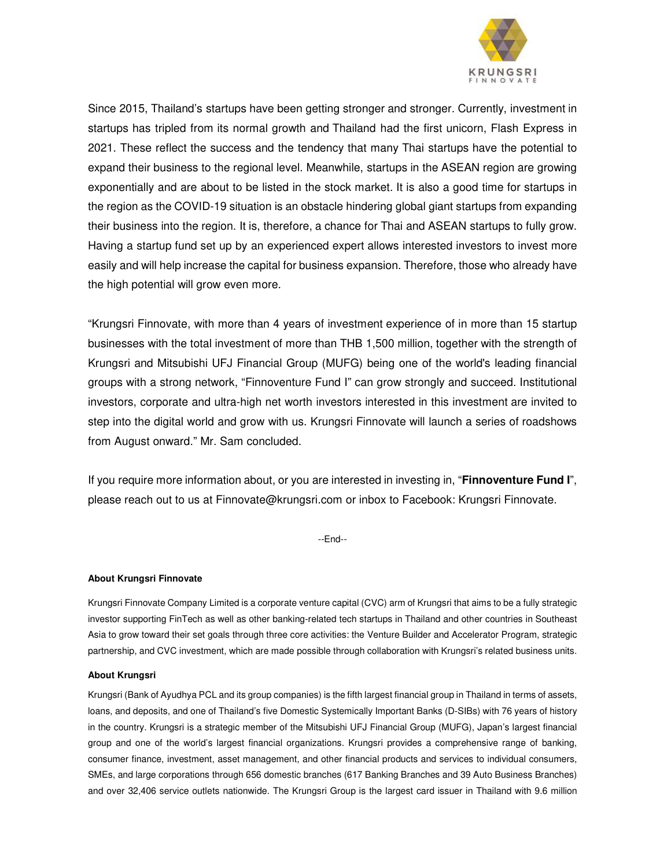

Since 2015, Thailand's startups have been getting stronger and stronger. Currently, investment in startups has tripled from its normal growth and Thailand had the first unicorn, Flash Express in 2021. These reflect the success and the tendency that many Thai startups have the potential to expand their business to the regional level. Meanwhile, startups in the ASEAN region are growing exponentially and are about to be listed in the stock market. It is also a good time for startups in the region as the COVID-19 situation is an obstacle hindering global giant startups from expanding their business into the region. It is, therefore, a chance for Thai and ASEAN startups to fully grow. Having a startup fund set up by an experienced expert allows interested investors to invest more easily and will help increase the capital for business expansion. Therefore, those who already have the high potential will grow even more.

"Krungsri Finnovate, with more than 4 years of investment experience of in more than 15 startup businesses with the total investment of more than THB 1,500 million, together with the strength of Krungsri and Mitsubishi UFJ Financial Group (MUFG) being one of the world's leading financial groups with a strong network, "Finnoventure Fund I" can grow strongly and succeed. Institutional investors, corporate and ultra-high net worth investors interested in this investment are invited to step into the digital world and grow with us. Krungsri Finnovate will launch a series of roadshows from August onward." Mr. Sam concluded.

If you require more information about, or you are interested in investing in, "**Finnoventure Fund I**", please reach out to us at Finnovate@krungsri.com or inbox to Facebook: Krungsri Finnovate.

--End--

## **About Krungsri Finnovate**

Krungsri Finnovate Company Limited is a corporate venture capital (CVC) arm of Krungsri that aims to be a fully strategic investor supporting FinTech as well as other banking-related tech startups in Thailand and other countries in Southeast Asia to grow toward their set goals through three core activities: the Venture Builder and Accelerator Program, strategic partnership, and CVC investment, which are made possible through collaboration with Krungsri's related business units.

#### **About Krungsri**

Krungsri (Bank of Ayudhya PCL and its group companies) is the fifth largest financial group in Thailand in terms of assets, loans, and deposits, and one of Thailand's five Domestic Systemically Important Banks (D-SIBs) with 76 years of history in the country. Krungsri is a strategic member of the Mitsubishi UFJ Financial Group (MUFG), Japan's largest financial group and one of the world's largest financial organizations. Krungsri provides a comprehensive range of banking, consumer finance, investment, asset management, and other financial products and services to individual consumers, SMEs, and large corporations through 656 domestic branches (617 Banking Branches and 39 Auto Business Branches) and over 32,406 service outlets nationwide. The Krungsri Group is the largest card issuer in Thailand with 9.6 million